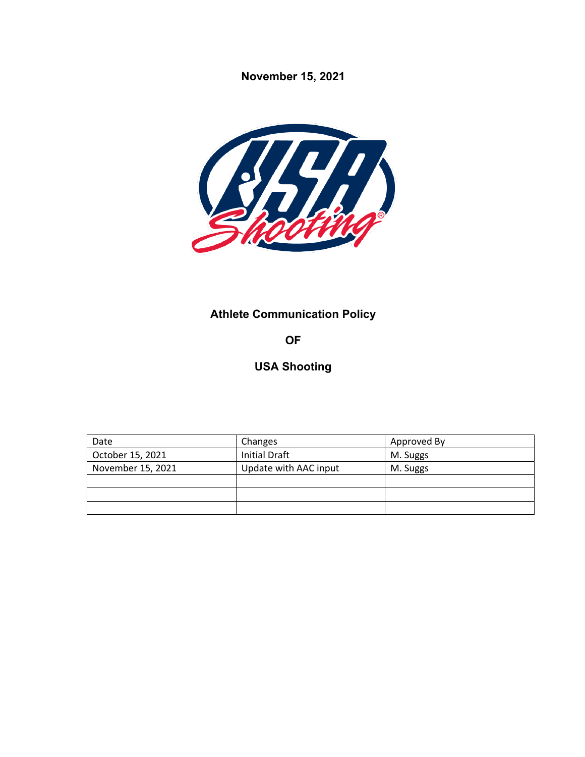**November 15, 2021**



# **Athlete Communication Policy**

**OF**

# **USA Shooting**

| Date              | Changes               | Approved By |
|-------------------|-----------------------|-------------|
| October 15, 2021  | <b>Initial Draft</b>  | M. Suggs    |
| November 15, 2021 | Update with AAC input | M. Suggs    |
|                   |                       |             |
|                   |                       |             |
|                   |                       |             |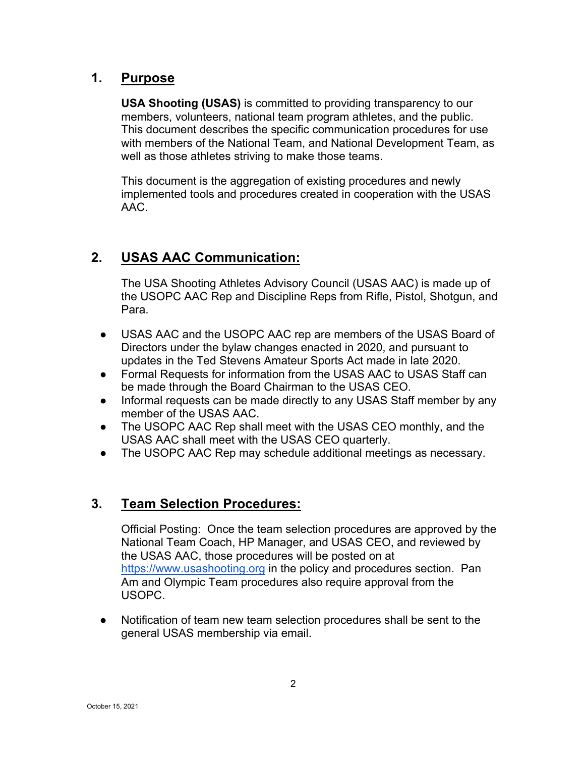## **1. Purpose**

**USA Shooting (USAS)** is committed to providing transparency to our members, volunteers, national team program athletes, and the public. This document describes the specific communication procedures for use with members of the National Team, and National Development Team, as well as those athletes striving to make those teams.

This document is the aggregation of existing procedures and newly implemented tools and procedures created in cooperation with the USAS AAC.

# **2. USAS AAC Communication:**

The USA Shooting Athletes Advisory Council (USAS AAC) is made up of the USOPC AAC Rep and Discipline Reps from Rifle, Pistol, Shotgun, and Para.

- USAS AAC and the USOPC AAC rep are members of the USAS Board of Directors under the bylaw changes enacted in 2020, and pursuant to updates in the Ted Stevens Amateur Sports Act made in late 2020.
- Formal Requests for information from the USAS AAC to USAS Staff can be made through the Board Chairman to the USAS CEO.
- Informal requests can be made directly to any USAS Staff member by any member of the USAS AAC.
- The USOPC AAC Rep shall meet with the USAS CEO monthly, and the USAS AAC shall meet with the USAS CEO quarterly.
- The USOPC AAC Rep may schedule additional meetings as necessary.

#### **3. Team Selection Procedures:**

Official Posting: Once the team selection procedures are approved by the National Team Coach, HP Manager, and USAS CEO, and reviewed by the USAS AAC, those procedures will be posted on at https://www.usashooting.org in the policy and procedures section. Pan Am and Olympic Team procedures also require approval from the USOPC.

● Notification of team new team selection procedures shall be sent to the general USAS membership via email.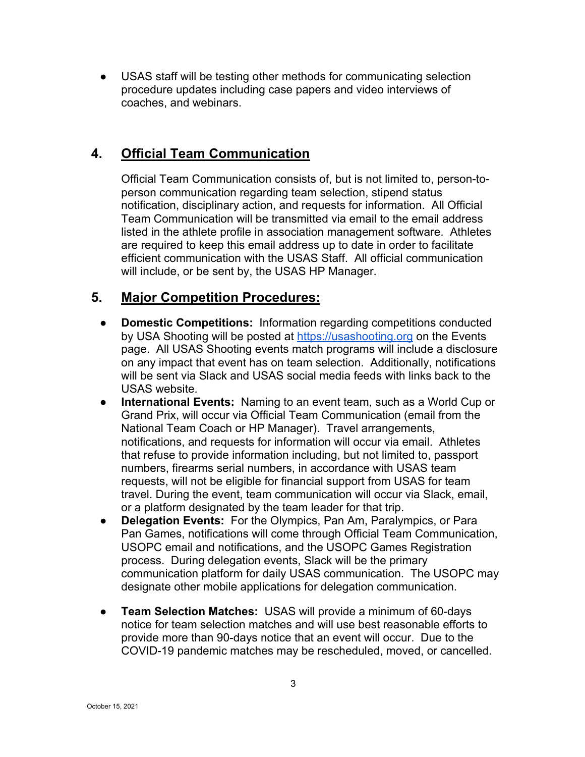● USAS staff will be testing other methods for communicating selection procedure updates including case papers and video interviews of coaches, and webinars.

# **4. Official Team Communication**

Official Team Communication consists of, but is not limited to, person-toperson communication regarding team selection, stipend status notification, disciplinary action, and requests for information. All Official Team Communication will be transmitted via email to the email address listed in the athlete profile in association management software. Athletes are required to keep this email address up to date in order to facilitate efficient communication with the USAS Staff. All official communication will include, or be sent by, the USAS HP Manager.

#### **5. Major Competition Procedures:**

- **Domestic Competitions:** Information regarding competitions conducted by USA Shooting will be posted at https://usashooting.org on the Events page. All USAS Shooting events match programs will include a disclosure on any impact that event has on team selection. Additionally, notifications will be sent via Slack and USAS social media feeds with links back to the USAS website.
- **International Events:** Naming to an event team, such as a World Cup or Grand Prix, will occur via Official Team Communication (email from the National Team Coach or HP Manager). Travel arrangements, notifications, and requests for information will occur via email. Athletes that refuse to provide information including, but not limited to, passport numbers, firearms serial numbers, in accordance with USAS team requests, will not be eligible for financial support from USAS for team travel. During the event, team communication will occur via Slack, email, or a platform designated by the team leader for that trip.
- **Delegation Events:** For the Olympics, Pan Am, Paralympics, or Para Pan Games, notifications will come through Official Team Communication, USOPC email and notifications, and the USOPC Games Registration process. During delegation events, Slack will be the primary communication platform for daily USAS communication. The USOPC may designate other mobile applications for delegation communication.
- **Team Selection Matches:** USAS will provide a minimum of 60-days notice for team selection matches and will use best reasonable efforts to provide more than 90-days notice that an event will occur. Due to the COVID-19 pandemic matches may be rescheduled, moved, or cancelled.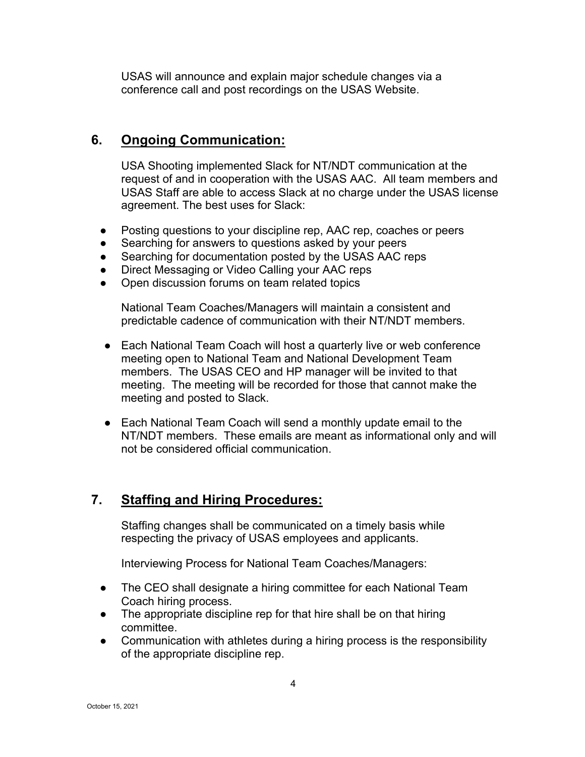USAS will announce and explain major schedule changes via a conference call and post recordings on the USAS Website.

#### **6. Ongoing Communication:**

USA Shooting implemented Slack for NT/NDT communication at the request of and in cooperation with the USAS AAC. All team members and USAS Staff are able to access Slack at no charge under the USAS license agreement. The best uses for Slack:

- Posting questions to your discipline rep, AAC rep, coaches or peers
- Searching for answers to questions asked by your peers
- Searching for documentation posted by the USAS AAC reps
- Direct Messaging or Video Calling your AAC reps
- Open discussion forums on team related topics

National Team Coaches/Managers will maintain a consistent and predictable cadence of communication with their NT/NDT members.

- Each National Team Coach will host a quarterly live or web conference meeting open to National Team and National Development Team members. The USAS CEO and HP manager will be invited to that meeting. The meeting will be recorded for those that cannot make the meeting and posted to Slack.
- Each National Team Coach will send a monthly update email to the NT/NDT members. These emails are meant as informational only and will not be considered official communication.

# **7. Staffing and Hiring Procedures:**

Staffing changes shall be communicated on a timely basis while respecting the privacy of USAS employees and applicants.

Interviewing Process for National Team Coaches/Managers:

- The CEO shall designate a hiring committee for each National Team Coach hiring process.
- The appropriate discipline rep for that hire shall be on that hiring committee.
- Communication with athletes during a hiring process is the responsibility of the appropriate discipline rep.